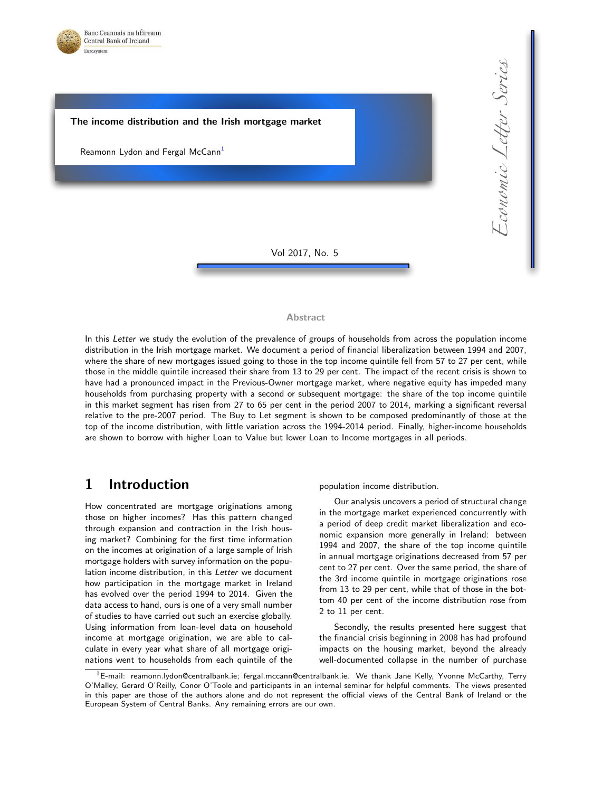



#### Abstract

In this Letter we study the evolution of the prevalence of groups of households from across the population income distribution in the Irish mortgage market. We document a period of financial liberalization between 1994 and 2007, where the share of new mortgages issued going to those in the top income quintile fell from 57 to 27 per cent, while those in the middle quintile increased their share from 13 to 29 per cent. The impact of the recent crisis is shown to have had a pronounced impact in the Previous-Owner mortgage market, where negative equity has impeded many households from purchasing property with a second or subsequent mortgage: the share of the top income quintile in this market segment has risen from 27 to 65 per cent in the period 2007 to 2014, marking a significant reversal relative to the pre-2007 period. The Buy to Let segment is shown to be composed predominantly of those at the top of the income distribution, with little variation across the 1994-2014 period. Finally, higher-income households are shown to borrow with higher Loan to Value but lower Loan to Income mortgages in all periods.

## 1 Introduction

How concentrated are mortgage originations among those on higher incomes? Has this pattern changed through expansion and contraction in the Irish housing market? Combining for the first time information on the incomes at origination of a large sample of Irish mortgage holders with survey information on the population income distribution, in this Letter we document how participation in the mortgage market in Ireland has evolved over the period 1994 to 2014. Given the data access to hand, ours is one of a very small number of studies to have carried out such an exercise globally. Using information from loan-level data on household income at mortgage origination, we are able to calculate in every year what share of all mortgage originations went to households from each quintile of the population income distribution.

Our analysis uncovers a period of structural change in the mortgage market experienced concurrently with a period of deep credit market liberalization and economic expansion more generally in Ireland: between 1994 and 2007, the share of the top income quintile in annual mortgage originations decreased from 57 per cent to 27 per cent. Over the same period, the share of the 3rd income quintile in mortgage originations rose from 13 to 29 per cent, while that of those in the bottom 40 per cent of the income distribution rose from 2 to 11 per cent.

Secondly, the results presented here suggest that the financial crisis beginning in 2008 has had profound impacts on the housing market, beyond the already well-documented collapse in the number of purchase

<span id="page-0-0"></span> $1E$ -mail: reamonn.lydon@centralbank.ie; fergal.mccann@centralbank.ie. We thank Jane Kelly, Yvonne McCarthy, Terry O'Malley, Gerard O'Reilly, Conor O'Toole and participants in an internal seminar for helpful comments. The views presented in this paper are those of the authors alone and do not represent the official views of the Central Bank of Ireland or the European System of Central Banks. Any remaining errors are our own.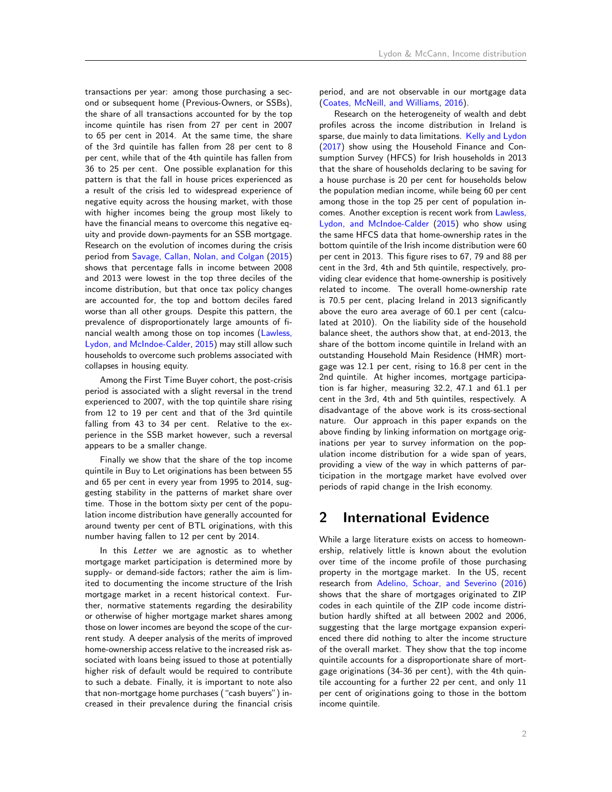transactions per year: among those purchasing a second or subsequent home (Previous-Owners, or SSBs), the share of all transactions accounted for by the top income quintile has risen from 27 per cent in 2007 to 65 per cent in 2014. At the same time, the share of the 3rd quintile has fallen from 28 per cent to 8 per cent, while that of the 4th quintile has fallen from 36 to 25 per cent. One possible explanation for this pattern is that the fall in house prices experienced as a result of the crisis led to widespread experience of negative equity across the housing market, with those with higher incomes being the group most likely to have the financial means to overcome this negative equity and provide down-payments for an SSB mortgage. Research on the evolution of incomes during the crisis period from [Savage, Callan, Nolan, and Colgan](#page-5-0) [\(2015\)](#page-5-0) shows that percentage falls in income between 2008 and 2013 were lowest in the top three deciles of the income distribution, but that once tax policy changes are accounted for, the top and bottom deciles fared worse than all other groups. Despite this pattern, the prevalence of disproportionately large amounts of financial wealth among those on top incomes [\(Lawless,](#page-5-1) [Lydon, and McIndoe-Calder,](#page-5-1) [2015\)](#page-5-1) may still allow such households to overcome such problems associated with collapses in housing equity.

Among the First Time Buyer cohort, the post-crisis period is associated with a slight reversal in the trend experienced to 2007, with the top quintile share rising from 12 to 19 per cent and that of the 3rd quintile falling from 43 to 34 per cent. Relative to the experience in the SSB market however, such a reversal appears to be a smaller change.

Finally we show that the share of the top income quintile in Buy to Let originations has been between 55 and 65 per cent in every year from 1995 to 2014, suggesting stability in the patterns of market share over time. Those in the bottom sixty per cent of the population income distribution have generally accounted for around twenty per cent of BTL originations, with this number having fallen to 12 per cent by 2014.

In this Letter we are agnostic as to whether mortgage market participation is determined more by supply- or demand-side factors; rather the aim is limited to documenting the income structure of the Irish mortgage market in a recent historical context. Further, normative statements regarding the desirability or otherwise of higher mortgage market shares among those on lower incomes are beyond the scope of the current study. A deeper analysis of the merits of improved home-ownership access relative to the increased risk associated with loans being issued to those at potentially higher risk of default would be required to contribute to such a debate. Finally, it is important to note also that non-mortgage home purchases ("cash buyers") increased in their prevalence during the financial crisis period, and are not observable in our mortgage data [\(Coates, McNeill, and Williams,](#page-4-0) [2016\)](#page-4-0).

Research on the heterogeneity of wealth and debt profiles across the income distribution in Ireland is sparse, due mainly to data limitations. [Kelly and Lydon](#page-4-1) [\(2017\)](#page-4-1) show using the Household Finance and Consumption Survey (HFCS) for Irish households in 2013 that the share of households declaring to be saving for a house purchase is 20 per cent for households below the population median income, while being 60 per cent among those in the top 25 per cent of population incomes. Another exception is recent work from [Lawless,](#page-5-1) [Lydon, and McIndoe-Calder](#page-5-1) [\(2015\)](#page-5-1) who show using the same HFCS data that home-ownership rates in the bottom quintile of the Irish income distribution were 60 per cent in 2013. This figure rises to 67, 79 and 88 per cent in the 3rd, 4th and 5th quintile, respectively, providing clear evidence that home-ownership is positively related to income. The overall home-ownership rate is 70.5 per cent, placing Ireland in 2013 significantly above the euro area average of 60.1 per cent (calculated at 2010). On the liability side of the household balance sheet, the authors show that, at end-2013, the share of the bottom income quintile in Ireland with an outstanding Household Main Residence (HMR) mortgage was 12.1 per cent, rising to 16.8 per cent in the 2nd quintile. At higher incomes, mortgage participation is far higher, measuring 32.2, 47.1 and 61.1 per cent in the 3rd, 4th and 5th quintiles, respectively. A disadvantage of the above work is its cross-sectional nature. Our approach in this paper expands on the above finding by linking information on mortgage originations per year to survey information on the population income distribution for a wide span of years, providing a view of the way in which patterns of participation in the mortgage market have evolved over periods of rapid change in the Irish economy.

### 2 International Evidence

While a large literature exists on access to homeownership, relatively little is known about the evolution over time of the income profile of those purchasing property in the mortgage market. In the US, recent research from [Adelino, Schoar, and Severino](#page-4-2) [\(2016\)](#page-4-2) shows that the share of mortgages originated to ZIP codes in each quintile of the ZIP code income distribution hardly shifted at all between 2002 and 2006, suggesting that the large mortgage expansion experienced there did nothing to alter the income structure of the overall market. They show that the top income quintile accounts for a disproportionate share of mortgage originations (34-36 per cent), with the 4th quintile accounting for a further 22 per cent, and only 11 per cent of originations going to those in the bottom income quintile.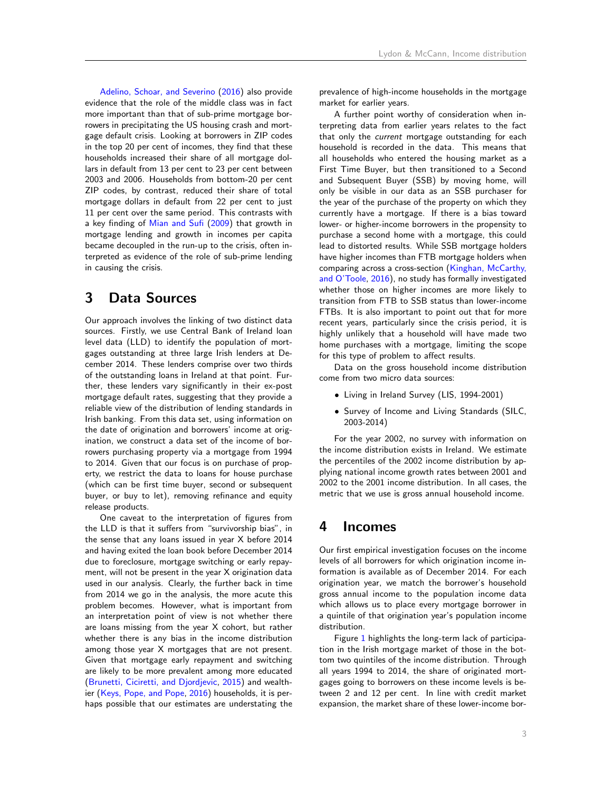[Adelino, Schoar, and Severino](#page-4-2) [\(2016\)](#page-4-2) also provide evidence that the role of the middle class was in fact more important than that of sub-prime mortgage borrowers in precipitating the US housing crash and mortgage default crisis. Looking at borrowers in ZIP codes in the top 20 per cent of incomes, they find that these households increased their share of all mortgage dollars in default from 13 per cent to 23 per cent between 2003 and 2006. Households from bottom-20 per cent ZIP codes, by contrast, reduced their share of total mortgage dollars in default from 22 per cent to just 11 per cent over the same period. This contrasts with a key finding of [Mian and Sufi](#page-5-2) [\(2009\)](#page-5-2) that growth in mortgage lending and growth in incomes per capita became decoupled in the run-up to the crisis, often interpreted as evidence of the role of sub-prime lending in causing the crisis.

## 3 Data Sources

Our approach involves the linking of two distinct data sources. Firstly, we use Central Bank of Ireland loan level data (LLD) to identify the population of mortgages outstanding at three large Irish lenders at December 2014. These lenders comprise over two thirds of the outstanding loans in Ireland at that point. Further, these lenders vary significantly in their ex-post mortgage default rates, suggesting that they provide a reliable view of the distribution of lending standards in Irish banking. From this data set, using information on the date of origination and borrowers' income at origination, we construct a data set of the income of borrowers purchasing property via a mortgage from 1994 to 2014. Given that our focus is on purchase of property, we restrict the data to loans for house purchase (which can be first time buyer, second or subsequent buyer, or buy to let), removing refinance and equity release products.

One caveat to the interpretation of figures from the LLD is that it suffers from "survivorship bias", in the sense that any loans issued in year X before 2014 and having exited the loan book before December 2014 due to foreclosure, mortgage switching or early repayment, will not be present in the year X origination data used in our analysis. Clearly, the further back in time from 2014 we go in the analysis, the more acute this problem becomes. However, what is important from an interpretation point of view is not whether there are loans missing from the year X cohort, but rather whether there is any bias in the income distribution among those year X mortgages that are not present. Given that mortgage early repayment and switching are likely to be more prevalent among more educated [\(Brunetti, Ciciretti, and Djordjevic,](#page-4-3) [2015\)](#page-4-3) and wealthier [\(Keys, Pope, and Pope,](#page-5-3) [2016\)](#page-5-3) households, it is perhaps possible that our estimates are understating the prevalence of high-income households in the mortgage market for earlier years.

A further point worthy of consideration when interpreting data from earlier years relates to the fact that only the current mortgage outstanding for each household is recorded in the data. This means that all households who entered the housing market as a First Time Buyer, but then transitioned to a Second and Subsequent Buyer (SSB) by moving home, will only be visible in our data as an SSB purchaser for the year of the purchase of the property on which they currently have a mortgage. If there is a bias toward lower- or higher-income borrowers in the propensity to purchase a second home with a mortgage, this could lead to distorted results. While SSB mortgage holders have higher incomes than FTB mortgage holders when comparing across a cross-section [\(Kinghan, McCarthy,](#page-5-4) [and O'Toole,](#page-5-4) [2016\)](#page-5-4), no study has formally investigated whether those on higher incomes are more likely to transition from FTB to SSB status than lower-income FTBs. It is also important to point out that for more recent years, particularly since the crisis period, it is highly unlikely that a household will have made two home purchases with a mortgage, limiting the scope for this type of problem to affect results.

Data on the gross household income distribution come from two micro data sources:

- Living in Ireland Survey (LIS, 1994-2001)
- Survey of Income and Living Standards (SILC, 2003-2014)

For the year 2002, no survey with information on the income distribution exists in Ireland. We estimate the percentiles of the 2002 income distribution by applying national income growth rates between 2001 and 2002 to the 2001 income distribution. In all cases, the metric that we use is gross annual household income.

### 4 Incomes

Our first empirical investigation focuses on the income levels of all borrowers for which origination income information is available as of December 2014. For each origination year, we match the borrower's household gross annual income to the population income data which allows us to place every mortgage borrower in a quintile of that origination year's population income distribution.

Figure [1](#page-6-0) highlights the long-term lack of participation in the Irish mortgage market of those in the bottom two quintiles of the income distribution. Through all years 1994 to 2014, the share of originated mortgages going to borrowers on these income levels is between 2 and 12 per cent. In line with credit market expansion, the market share of these lower-income bor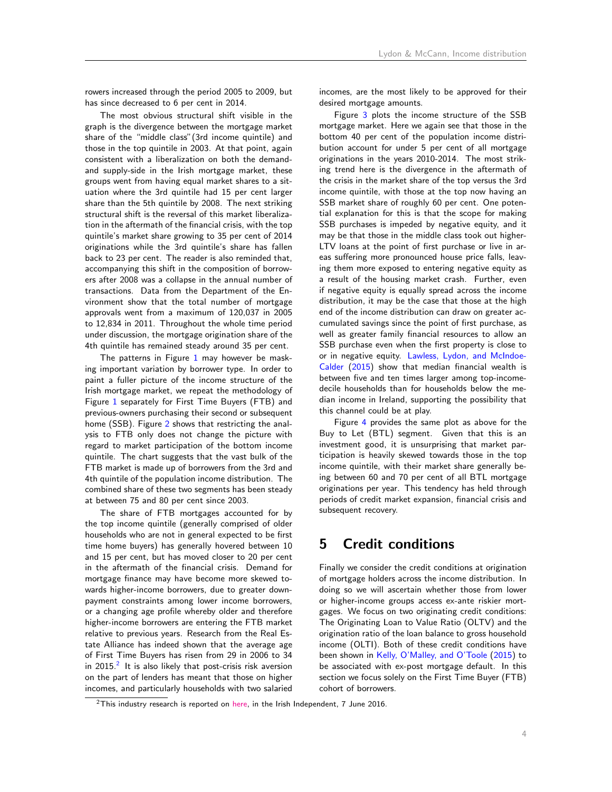rowers increased through the period 2005 to 2009, but has since decreased to 6 per cent in 2014.

The most obvious structural shift visible in the graph is the divergence between the mortgage market share of the "middle class"(3rd income quintile) and those in the top quintile in 2003. At that point, again consistent with a liberalization on both the demandand supply-side in the Irish mortgage market, these groups went from having equal market shares to a situation where the 3rd quintile had 15 per cent larger share than the 5th quintile by 2008. The next striking structural shift is the reversal of this market liberalization in the aftermath of the financial crisis, with the top quintile's market share growing to 35 per cent of 2014 originations while the 3rd quintile's share has fallen back to 23 per cent. The reader is also reminded that, accompanying this shift in the composition of borrowers after 2008 was a collapse in the annual number of transactions. Data from the Department of the Environment show that the total number of mortgage approvals went from a maximum of 120,037 in 2005 to 12,834 in 2011. Throughout the whole time period under discussion, the mortgage origination share of the 4th quintile has remained steady around 35 per cent.

The patterns in Figure  $1$  may however be masking important variation by borrower type. In order to paint a fuller picture of the income structure of the Irish mortgage market, we repeat the methodology of Figure [1](#page-6-0) separately for First Time Buyers (FTB) and previous-owners purchasing their second or subsequent home (SSB). Figure [2](#page-6-1) shows that restricting the analysis to FTB only does not change the picture with regard to market participation of the bottom income quintile. The chart suggests that the vast bulk of the FTB market is made up of borrowers from the 3rd and 4th quintile of the population income distribution. The combined share of these two segments has been steady at between 75 and 80 per cent since 2003.

The share of FTB mortgages accounted for by the top income quintile (generally comprised of older households who are not in general expected to be first time home buyers) has generally hovered between 10 and 15 per cent, but has moved closer to 20 per cent in the aftermath of the financial crisis. Demand for mortgage finance may have become more skewed towards higher-income borrowers, due to greater downpayment constraints among lower income borrowers, or a changing age profile whereby older and therefore higher-income borrowers are entering the FTB market relative to previous years. Research from the Real Estate Alliance has indeed shown that the average age of First Time Buyers has risen from 29 in 2006 to 34 in [2](#page-3-0)015. $^2$  It is also likely that post-crisis risk aversion on the part of lenders has meant that those on higher incomes, and particularly households with two salaried incomes, are the most likely to be approved for their desired mortgage amounts.

Figure [3](#page-7-0) plots the income structure of the SSB mortgage market. Here we again see that those in the bottom 40 per cent of the population income distribution account for under 5 per cent of all mortgage originations in the years 2010-2014. The most striking trend here is the divergence in the aftermath of the crisis in the market share of the top versus the 3rd income quintile, with those at the top now having an SSB market share of roughly 60 per cent. One potential explanation for this is that the scope for making SSB purchases is impeded by negative equity, and it may be that those in the middle class took out higher-LTV loans at the point of first purchase or live in areas suffering more pronounced house price falls, leaving them more exposed to entering negative equity as a result of the housing market crash. Further, even if negative equity is equally spread across the income distribution, it may be the case that those at the high end of the income distribution can draw on greater accumulated savings since the point of first purchase, as well as greater family financial resources to allow an SSB purchase even when the first property is close to or in negative equity. [Lawless, Lydon, and McIndoe-](#page-5-1)[Calder](#page-5-1) [\(2015\)](#page-5-1) show that median financial wealth is between five and ten times larger among top-incomedecile households than for households below the median income in Ireland, supporting the possibility that this channel could be at play.

Figure [4](#page-7-1) provides the same plot as above for the Buy to Let (BTL) segment. Given that this is an investment good, it is unsurprising that market participation is heavily skewed towards those in the top income quintile, with their market share generally being between 60 and 70 per cent of all BTL mortgage originations per year. This tendency has held through periods of credit market expansion, financial crisis and subsequent recovery.

## 5 Credit conditions

Finally we consider the credit conditions at origination of mortgage holders across the income distribution. In doing so we will ascertain whether those from lower or higher-income groups access ex-ante riskier mortgages. We focus on two originating credit conditions: The Originating Loan to Value Ratio (OLTV) and the origination ratio of the loan balance to gross household income (OLTI). Both of these credit conditions have been shown in [Kelly, O'Malley, and O'Toole](#page-4-4) [\(2015\)](#page-4-4) to be associated with ex-post mortgage default. In this section we focus solely on the First Time Buyer (FTB) cohort of borrowers.

<span id="page-3-0"></span><sup>&</sup>lt;sup>2</sup>This industry research is reported on [here,](http://www.independent.ie/business/personal-finance/property-mortgages/average-age-of-firsttime-buyers-now-34-as-banks-rules-bite-34777736.html) in the Irish Independent, 7 June 2016.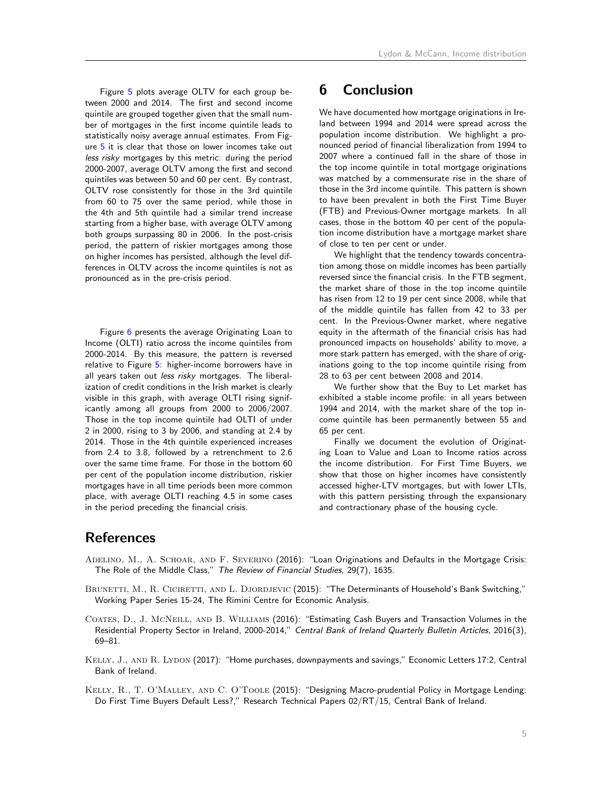Figure [5](#page-8-0) plots average OLTV for each group between 2000 and 2014. The first and second income quintile are grouped together given that the small number of mortgages in the first income quintile leads to statistically noisy average annual estimates. From Figure [5](#page-8-0) it is clear that those on lower incomes take out less risky mortgages by this metric: during the period 2000-2007, average OLTV among the first and second quintiles was between 50 and 60 per cent. By contrast, OLTV rose consistently for those in the 3rd quintile from 60 to 75 over the same period, while those in the 4th and 5th quintile had a similar trend increase starting from a higher base, with average OLTV among both groups surpassing 80 in 2006. In the post-crisis period, the pattern of riskier mortgages among those on higher incomes has persisted, although the level differences in OLTV across the income quintiles is not as pronounced as in the pre-crisis period.

Figure [6](#page-8-1) presents the average Originating Loan to Income (OLTI) ratio across the income quintiles from 2000-2014. By this measure, the pattern is reversed relative to Figure [5:](#page-8-0) higher-income borrowers have in all years taken out less risky mortgages. The liberalization of credit conditions in the Irish market is clearly visible in this graph, with average OLTI rising significantly among all groups from 2000 to 2006/2007. Those in the top income quintile had OLTI of under 2 in 2000, rising to 3 by 2006, and standing at 2.4 by 2014. Those in the 4th quintile experienced increases from 2.4 to 3.8, followed by a retrenchment to 2.6 over the same time frame. For those in the bottom 60 per cent of the population income distribution, riskier mortgages have in all time periods been more common place, with average OLTI reaching 4.5 in some cases in the period preceding the financial crisis.

# 6 Conclusion

We have documented how mortgage originations in Ireland between 1994 and 2014 were spread across the population income distribution. We highlight a pronounced period of financial liberalization from 1994 to 2007 where a continued fall in the share of those in the top income quintile in total mortgage originations was matched by a commensurate rise in the share of those in the 3rd income quintile. This pattern is shown to have been prevalent in both the First Time Buyer (FTB) and Previous-Owner mortgage markets. In all cases, those in the bottom 40 per cent of the population income distribution have a mortgage market share of close to ten per cent or under.

We highlight that the tendency towards concentration among those on middle incomes has been partially reversed since the financial crisis. In the FTB segment, the market share of those in the top income quintile has risen from 12 to 19 per cent since 2008, while that of the middle quintile has fallen from 42 to 33 per cent. In the Previous-Owner market, where negative equity in the aftermath of the financial crisis has had pronounced impacts on households' ability to move, a more stark pattern has emerged, with the share of originations going to the top income quintile rising from 28 to 63 per cent between 2008 and 2014.

We further show that the Buy to Let market has exhibited a stable income profile: in all years between 1994 and 2014, with the market share of the top income quintile has been permanently between 55 and 65 per cent.

Finally we document the evolution of Originating Loan to Value and Loan to Income ratios across the income distribution. For First Time Buyers, we show that those on higher incomes have consistently accessed higher-LTV mortgages, but with lower LTIs, with this pattern persisting through the expansionary and contractionary phase of the housing cycle.

## References

- <span id="page-4-2"></span>Adelino, M., A. Schoar, and F. Severino (2016): "Loan Originations and Defaults in the Mortgage Crisis: The Role of the Middle Class," The Review of Financial Studies, 29(7), 1635.
- <span id="page-4-3"></span>BRUNETTI, M., R. CICIRETTI, AND L. DJORDJEVIC (2015): "The Determinants of Household's Bank Switching," Working Paper Series 15-24, The Rimini Centre for Economic Analysis.
- <span id="page-4-0"></span>Coates, D., J. McNeill, and B. Williams (2016): "Estimating Cash Buyers and Transaction Volumes in the Residential Property Sector in Ireland, 2000-2014," Central Bank of Ireland Quarterly Bulletin Articles, 2016(3), 69–81.
- <span id="page-4-1"></span>KELLY, J., AND R. LYDON (2017): "Home purchases, downpayments and savings," Economic Letters 17:2, Central Bank of Ireland.
- <span id="page-4-4"></span>KELLY, R., T. O'MALLEY, AND C. O'TOOLE (2015): "Designing Macro-prudential Policy in Mortgage Lending: Do First Time Buyers Default Less?," Research Technical Papers 02/RT/15, Central Bank of Ireland.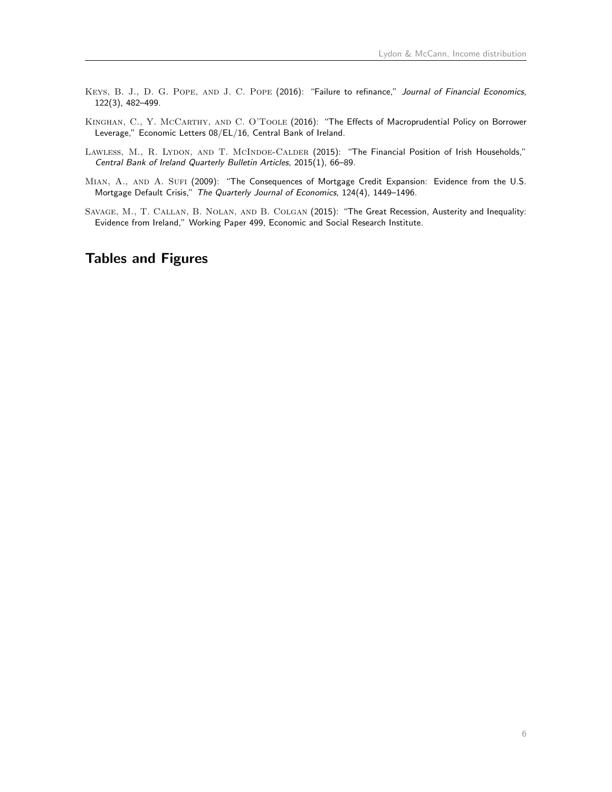- <span id="page-5-3"></span>KEYS, B. J., D. G. POPE, AND J. C. POPE (2016): "Failure to refinance," Journal of Financial Economics, 122(3), 482–499.
- <span id="page-5-4"></span>KINGHAN, C., Y. MCCARTHY, AND C. O'TOOLE (2016): "The Effects of Macroprudential Policy on Borrower Leverage," Economic Letters 08/EL/16, Central Bank of Ireland.
- <span id="page-5-1"></span>LAWLESS, M., R. LYDON, AND T. MCINDOE-CALDER (2015): "The Financial Position of Irish Households," Central Bank of Ireland Quarterly Bulletin Articles, 2015(1), 66–89.
- <span id="page-5-2"></span>MIAN, A., AND A. SUFI (2009): "The Consequences of Mortgage Credit Expansion: Evidence from the U.S. Mortgage Default Crisis," The Quarterly Journal of Economics, 124(4), 1449–1496.
- <span id="page-5-0"></span>Savage, M., T. Callan, B. Nolan, and B. Colgan (2015): "The Great Recession, Austerity and Inequality: Evidence from Ireland," Working Paper 499, Economic and Social Research Institute.

## Tables and Figures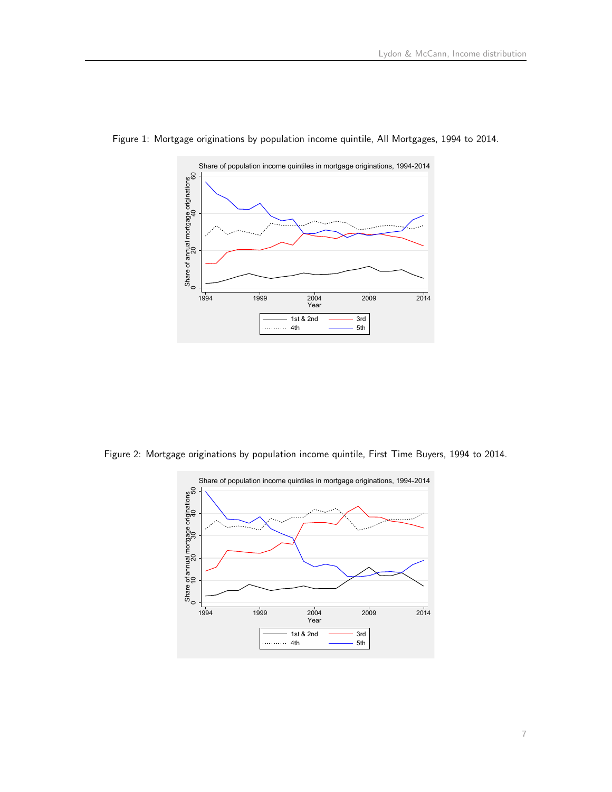

<span id="page-6-0"></span>Figure 1: Mortgage originations by population income quintile, All Mortgages, 1994 to 2014.

<span id="page-6-1"></span>Figure 2: Mortgage originations by population income quintile, First Time Buyers, 1994 to 2014.

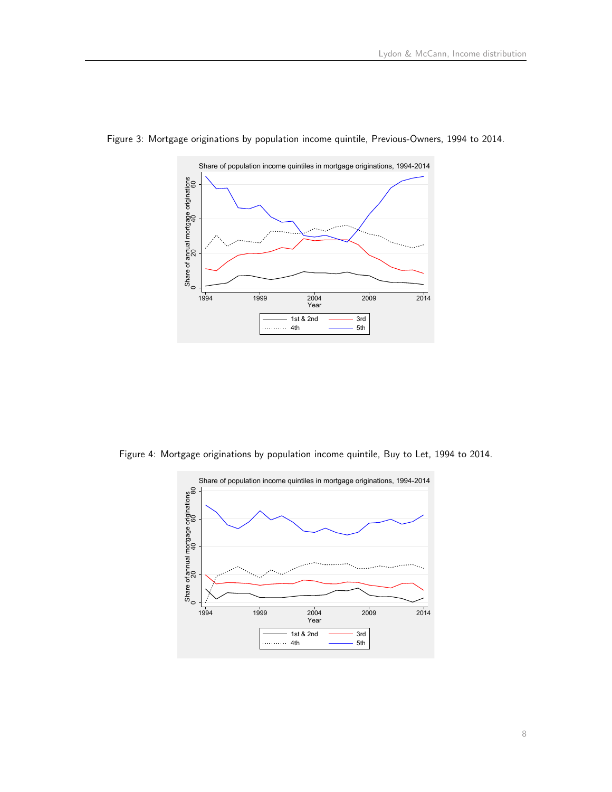

<span id="page-7-0"></span>Figure 3: Mortgage originations by population income quintile, Previous-Owners, 1994 to 2014.

<span id="page-7-1"></span>Figure 4: Mortgage originations by population income quintile, Buy to Let, 1994 to 2014.